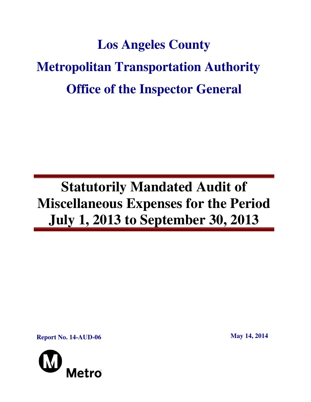# **Los Angeles County Metropolitan Transportation Authority Office of the Inspector General**

## **Statutorily Mandated Audit of Miscellaneous Expenses for the Period July 1, 2013 to September 30, 2013**

**Report No. 14-AUD-06** May 14, 2014

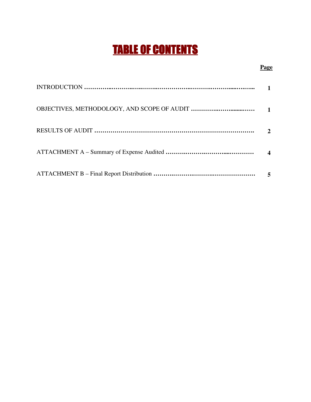## TABLE OF CONTENTS

#### **Page**

| $\mathbf{2}$ |
|--------------|
|              |
|              |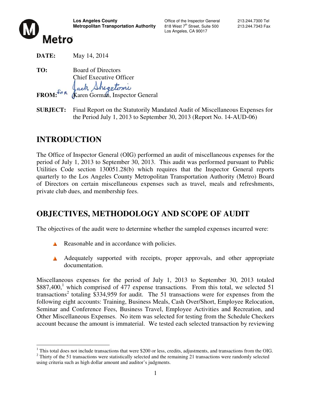

Los Angeles, CA 90017

**DATE:** May 14, 2014

**TO:** Board of Directors Chief Executive Officer ack Shegetomi FROM:<sup>FOR</sup> (Karen Gorman, Inspector General

**SUBJECT:** Final Report on the Statutorily Mandated Audit of Miscellaneous Expenses for the Period July 1, 2013 to September 30, 2013 (Report No. 14-AUD-06)

## **INTRODUCTION**

The Office of Inspector General (OIG) performed an audit of miscellaneous expenses for the period of July 1, 2013 to September 30, 2013. This audit was performed pursuant to Public Utilities Code section 130051.28(b) which requires that the Inspector General reports quarterly to the Los Angeles County Metropolitan Transportation Authority (Metro) Board of Directors on certain miscellaneous expenses such as travel, meals and refreshments, private club dues, and membership fees.

### **OBJECTIVES, METHODOLOGY AND SCOPE OF AUDIT**

The objectives of the audit were to determine whether the sampled expenses incurred were:

- Reasonable and in accordance with policies.
- A Adequately supported with receipts, proper approvals, and other appropriate documentation.

Miscellaneous expenses for the period of July 1, 2013 to September 30, 2013 totaled  $$887,400$ ,<sup>1</sup> which comprised of 477 expense transactions. From this total, we selected 51 transactions<sup>2</sup> totaling \$334,959 for audit. The 51 transactions were for expenses from the following eight accounts: Training, Business Meals, Cash Over/Short, Employee Relocation, Seminar and Conference Fees, Business Travel, Employee Activities and Recreation, and Other Miscellaneous Expenses. No item was selected for testing from the Schedule Checkers account because the amount is immaterial. We tested each selected transaction by reviewing

 $\overline{a}$  $1$  This total does not include transactions that were \$200 or less, credits, adjustments, and transactions from the OIG.

 $2$  Thirty of the 51 transactions were statistically selected and the remaining 21 transactions were randomly selected using criteria such as high dollar amount and auditor's judgments.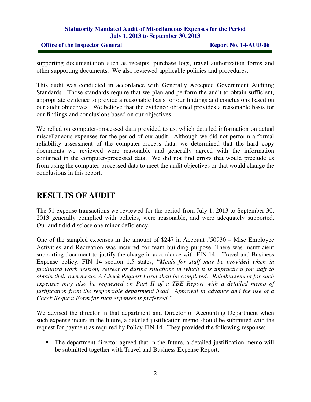#### **Statutorily Mandated Audit of Miscellaneous Expenses for the Period July 1, 2013 to September 30, 2013**

#### **Office of the Inspector General Report No. 14-AUD-06**

supporting documentation such as receipts, purchase logs, travel authorization forms and other supporting documents. We also reviewed applicable policies and procedures.

This audit was conducted in accordance with Generally Accepted Government Auditing Standards. Those standards require that we plan and perform the audit to obtain sufficient, appropriate evidence to provide a reasonable basis for our findings and conclusions based on our audit objectives. We believe that the evidence obtained provides a reasonable basis for our findings and conclusions based on our objectives.

We relied on computer-processed data provided to us, which detailed information on actual miscellaneous expenses for the period of our audit. Although we did not perform a formal reliability assessment of the computer-process data, we determined that the hard copy documents we reviewed were reasonable and generally agreed with the information contained in the computer-processed data. We did not find errors that would preclude us from using the computer-processed data to meet the audit objectives or that would change the conclusions in this report.

## **RESULTS OF AUDIT**

The 51 expense transactions we reviewed for the period from July 1, 2013 to September 30, 2013 generally complied with policies, were reasonable, and were adequately supported. Our audit did disclose one minor deficiency.

One of the sampled expenses in the amount of \$247 in Account #50930 – Misc Employee Activities and Recreation was incurred for team building purpose. There was insufficient supporting document to justify the charge in accordance with FIN 14 – Travel and Business Expense policy. FIN 14 section 1.5 states, "*Meals for staff may be provided when in facilitated work session, retreat or during situations in which it is impractical for staff to obtain their own meals. A Check Request Form shall be completed…Reimbursement for such expenses may also be requested on Part II of a TBE Report with a detailed memo of justification from the responsible department head. Approval in advance and the use of a Check Request Form for such expenses is preferred."* 

We advised the director in that department and Director of Accounting Department when such expense incurs in the future, a detailed justification memo should be submitted with the request for payment as required by Policy FIN 14. They provided the following response:

The department director agreed that in the future, a detailed justification memo will be submitted together with Travel and Business Expense Report.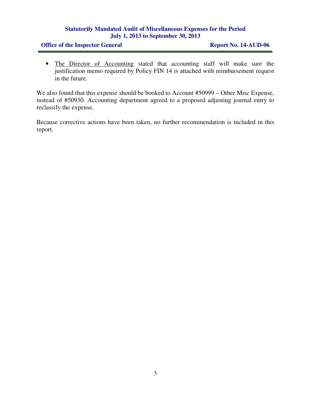#### **Statutorily Mandated Audit of Miscellaneous Expenses for the Period July 1, 2013 to September 30, 2013**

#### **Office of the Inspector General Report No. 14-AUD-06**

• The Director of Accounting stated that accounting staff will make sure the justification memo required by Policy FIN 14 is attached with reimbursement request in the future.

We also found that this expense should be booked to Account #50999 – Other Misc Expense, instead of #50930. Accounting department agreed to a proposed adjusting journal entry to reclassify the expense.

Because corrective actions have been taken, no further recommendation is included in this report.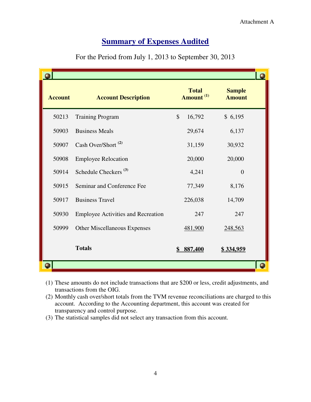### **<u>Summary of Expenses Audited</u>**

| <b>Account</b> | <b>Account Description</b>                | <b>Total</b><br>Amount <sup>(1)</sup> | <b>Sample</b><br><b>Amount</b> |  |
|----------------|-------------------------------------------|---------------------------------------|--------------------------------|--|
| 50213          | <b>Training Program</b>                   | $\mathcal{S}$<br>16,792               | \$6,195                        |  |
| 50903          | <b>Business Meals</b>                     | 29,674                                | 6,137                          |  |
| 50907          | Cash Over/Short <sup>(2)</sup>            | 31,159                                | 30,932                         |  |
| 50908          | <b>Employee Relocation</b>                | 20,000                                | 20,000                         |  |
| 50914          | Schedule Checkers <sup>(3)</sup>          | 4,241                                 | $\overline{0}$                 |  |
| 50915          | Seminar and Conference Fee                | 77,349                                | 8,176                          |  |
| 50917          | <b>Business Travel</b>                    | 226,038                               | 14,709                         |  |
| 50930          | <b>Employee Activities and Recreation</b> | 247                                   | 247                            |  |
| 50999          | <b>Other Miscellaneous Expenses</b>       | 481,900                               | 248,563                        |  |
|                | <b>Totals</b>                             | 887,400                               | \$334,959                      |  |
|                |                                           |                                       |                                |  |

For the Period from July 1, 2013 to September 30, 2013

- (1) These amounts do not include transactions that are \$200 or less, credit adjustments, and transactions from the OIG.
- (2) Monthly cash over/short totals from the TVM revenue reconciliations are charged to this account. According to the Accounting department, this account was created for account. According to the Accounting department, this account transparency and control purpose.
- (3) The statistical samples did not select any transaction from this account account.